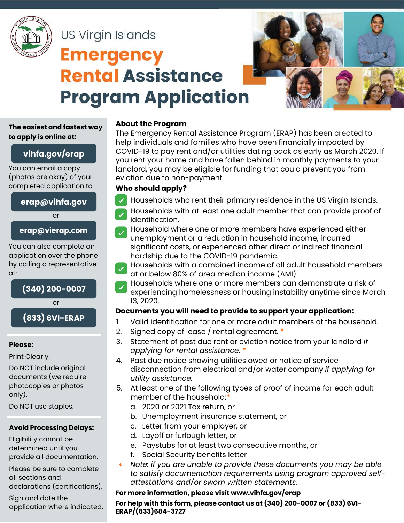

# US Virgin Islands **Emergency Rental Assistance Program Application**



### **The easiest and fastest way to apply is online at:**

## **vihfa.gov/erap**

You can email a copy (photos are okay) of your completed application to:

### **erap@vihfa.gov**

or

#### **erap@vierap.com**

You can also complete an application over the phone by calling a representative at:



# **(833) 6VI-ERAP**

#### **Please:**

Print Clearly.

Do NOT include original documents (we require photocopies or photos only).

Do NOT use staples.

#### **Avoid Processing Delays:**

Eligibility cannot be determined until you provide all documentation.

Please be sure to complete all sections and

declarations (certifications).

Sign and date the application where indicated.

#### **About the Program**

The Emergency Rental Assistance Program (ERAP) has been created to help individuals and families who have been financially impacted by COVID-19 to pay rent and/or utilities dating back as early as March 2020. If you rent your home and have fallen behind in monthly payments to your landlord, you may be eligible for funding that could prevent you from eviction due to non-payment.

## **Who should apply?**

- Households who rent their primary residence in the US Virgin Islands.
- Households with at least one adult member that can provide proof of identification.
- Household where one or more members have experienced either  $\checkmark$ unemployment or a reduction in household income, incurred significant costs, or experienced other direct or indirect financial hardship due to the COVID-19 pandemic.
- Households with a combined income of all adult household members  $\checkmark$ at or below 80% of area median income (AMI).
- Households where one or more members can demonstrate a risk of experiencing homelessness or housing instability anytime since March 13, 2020.

## **Documents you will need to provide to support your application:**

- 1. Valid identification for one or more adult members of the household.
- 2. Signed copy of lease / rental agreement. **\***
- 3. Statement of past due rent or eviction notice from your landlord *if applying for rental assistance.* **\***
- 4. Past due notice showing utilities owed or notice of service disconnection from electrical and/or water company *if applying for utility assistance.*
- 5. At least one of the following types of proof of income for each adult member of the household:**\***
	- a. 2020 or 2021 Tax return, or
	- b. Unemployment insurance statement, or
	- c. Letter from your employer, or
	- d. Layoff or furlough letter, or
	- e. Paystubs for at least two consecutive months, or
	- f. Social Security benefits letter
	- ∗ *Note: if you are unable to provide these documents you may be able to satisfy documentation requirements using program approved selfattestations and/or sworn written statements.*

### **For more information, please visit www.vihfa.gov/erap**

**For help with this form, please contact us at (340) 200-0007 or (833) 6VI-ERAP/(833)684-3727**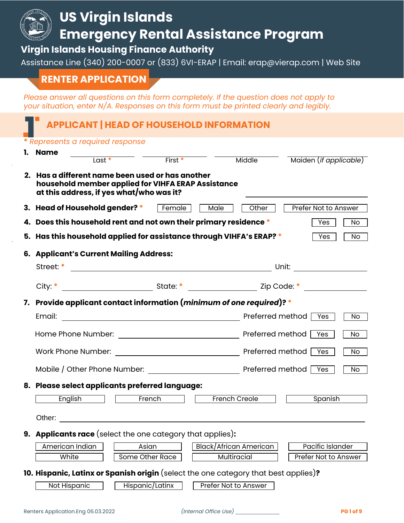

#### **10. Hispanic, Latinx or Spanish origin** (select the one category that best applies)**?**

- 
- Not Hispanic Hispanic/Latinx Prefer Not to Answer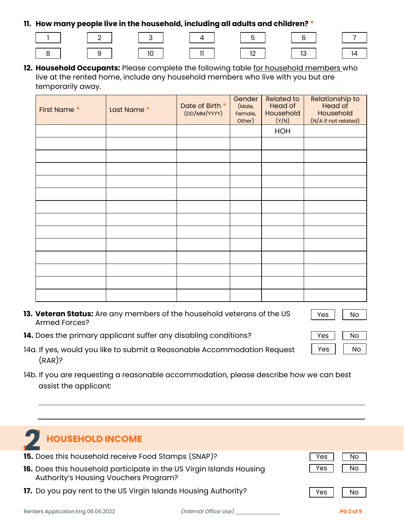#### **11. How many people live in the household, including all adults and children? \***

|  |  |  |  |  | ___ |  |
|--|--|--|--|--|-----|--|





**12. Household Occupants:** Please complete the following table for household members who live at the rented home, include any household members who live with you but are temporarily away.

| First Name * | Last Name* | Date of Birth *<br>(DD/MM/YYYY) | Gender<br>(Male,<br>Female,<br>Other) | <b>Related to</b><br>Head of<br>Household<br>(Y/N) | <b>Relationship to</b><br>Head of<br>Household<br>(N/A if not related) |
|--------------|------------|---------------------------------|---------------------------------------|----------------------------------------------------|------------------------------------------------------------------------|
|              |            |                                 |                                       | HOH                                                |                                                                        |
|              |            |                                 |                                       |                                                    |                                                                        |
|              |            |                                 |                                       |                                                    |                                                                        |
|              |            |                                 |                                       |                                                    |                                                                        |
|              |            |                                 |                                       |                                                    |                                                                        |
|              |            |                                 |                                       |                                                    |                                                                        |
|              |            |                                 |                                       |                                                    |                                                                        |
|              |            |                                 |                                       |                                                    |                                                                        |
|              |            |                                 |                                       |                                                    |                                                                        |
|              |            |                                 |                                       |                                                    |                                                                        |
|              |            |                                 |                                       |                                                    |                                                                        |
|              |            |                                 |                                       |                                                    |                                                                        |
|              |            |                                 |                                       |                                                    |                                                                        |
|              |            |                                 |                                       |                                                    |                                                                        |

**13. Veteran Status:** Are any members of the household veterans of the US Armed Forces?

Yes | | No

Yes | | No

- **14.** Does the primary applicant suffer any disabling conditions? The No No Yes No
- 14a. If yes, would you like to submit a Reasonable Accommodation Request (RAR)?
- 14b. If you are requesting a reasonable accommodation, please describe how we can best assist the applicant:

| <b>TEN HOUSEHOLD INCOME</b>                                                                                   |     |    |
|---------------------------------------------------------------------------------------------------------------|-----|----|
| 15. Does this household receive Food Stamps (SNAP)?                                                           | Yes |    |
| 16. Does this household participate in the US Virgin Islands Housing<br>Authority's Housing Vouchers Program? | Yes | No |
| 17. Do you pay rent to the US Virgin Islands Housing Authority?                                               | Yes | No |

Renters Application.Eng 06.06.2022 *(Internal Office Use)* \_\_\_\_\_\_\_\_\_\_\_\_\_\_\_ **PG 2 of 9**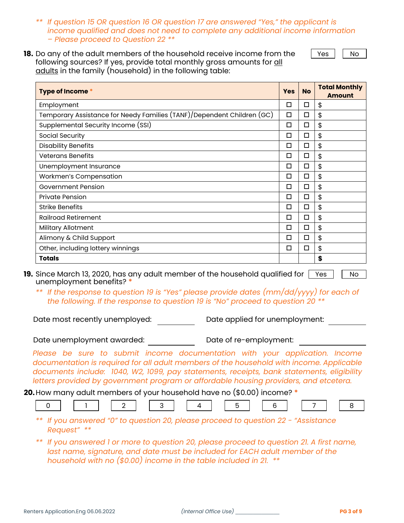- *\*\* If question 15 OR question 16 OR question 17 are answered "Yes," the applicant is income qualified and does not need to complete any additional income information – Please proceed to Question 22 \*\**
- **18.** Do any of the adult members of the household receive income from the following sources? If yes, provide total monthly gross amounts for all adults in the family (household) in the following table:

 $Yes$  | | No

| Type of Income *                                                       | <b>Yes</b> | <b>No</b> | <b>Total Monthly</b><br>Amount |
|------------------------------------------------------------------------|------------|-----------|--------------------------------|
| Employment                                                             | □          | □         | \$                             |
| Temporary Assistance for Needy Families (TANF)/Dependent Children (GC) | □          | □         | \$                             |
| Supplemental Security Income (SSI)                                     | □          | □         | \$                             |
| Social Security                                                        | $\Box$     | □         | \$                             |
| <b>Disability Benefits</b>                                             | □          | □         | \$                             |
| <b>Veterans Benefits</b>                                               | $\Box$     | □         | \$                             |
| Unemployment Insurance                                                 | $\Box$     | □         | \$                             |
| Workmen's Compensation                                                 | □          | □         | \$                             |
| Government Pension                                                     | $\Box$     | □         | \$                             |
| <b>Private Pension</b>                                                 | □          | □         | \$                             |
| <b>Strike Benefits</b>                                                 | □          | □         | \$                             |
| <b>Railroad Retirement</b>                                             | □          | □         | \$                             |
| Military Allotment                                                     | □          | □         | \$                             |
| Alimony & Child Support                                                | $\Box$     | □         | \$                             |
| Other, including lottery winnings                                      | □          | □         | \$                             |
| <b>Totals</b>                                                          |            |           | \$                             |

*\*\* If the response to question 19 is "Yes" please provide dates (mm/dd/yyyy) for each of the following. If the response to question 19 is "No" proceed to question 20 \*\**

Date most recently unemployed: Date applied for unemployment:

Date unemployment awarded: Date of re-employment:

Please be sure to submit income documentation with your application. Income *documentation is required for all adult members of the household with income. Applicable documents include: 1040, W2, 1099, pay statements, receipts, bank statements, eligibility letters provided by government program or affordable housing providers, and etcetera.*

**20.**How many adult members of your household have no (\$0.00) income? **\***

|  |  |  |  |  |  |  | the control of the control of the control of the control of the control of the control of the control of the control of the control of the control of the control of the control of the control of the control of the control |  |  |  |  |  | and the control |  |  |  |  |
|--|--|--|--|--|--|--|-------------------------------------------------------------------------------------------------------------------------------------------------------------------------------------------------------------------------------|--|--|--|--|--|-----------------|--|--|--|--|
|--|--|--|--|--|--|--|-------------------------------------------------------------------------------------------------------------------------------------------------------------------------------------------------------------------------------|--|--|--|--|--|-----------------|--|--|--|--|

- *\*\* If you answered "0" to question 20, please proceed to question 22 - "Assistance Request" \*\**
- *\*\* If you answered 1 or more to question 20, please proceed to question 21. A first name, last name, signature, and date must be included for EACH adult member of the household with no (\$0.00) income in the table included in 21. \*\**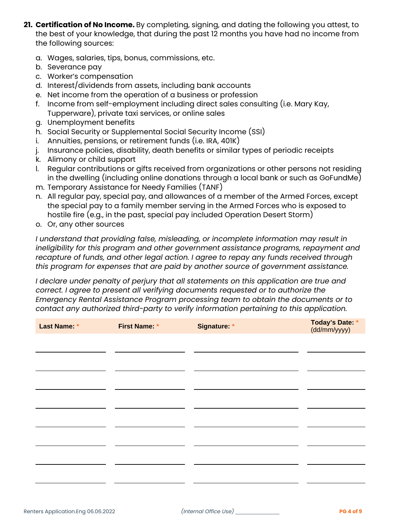- **21. Certification of No Income.** By completing, signing, and dating the following you attest, to the best of your knowledge, that during the past 12 months you have had no income from the following sources:
	- a. Wages, salaries, tips, bonus, commissions, etc.
	- b. Severance pay
	- c. Worker's compensation
	- d. Interest/dividends from assets, including bank accounts
	- e. Net income from the operation of a business or profession
	- f. Income from self-employment including direct sales consulting (i.e. Mary Kay, Tupperware), private taxi services, or online sales
	- g. Unemployment benefits
	- h. Social Security or Supplemental Social Security Income (SSI)
	- i. Annuities, pensions, or retirement funds (i.e. IRA, 401K)
	- j. Insurance policies, disability, death benefits or similar types of periodic receipts
	- k. Alimony or child support
	- l. Regular contributions or gifts received from organizations or other persons not residing in the dwelling (including online donations through a local bank or such as GoFundMe)
	- m. Temporary Assistance for Needy Families (TANF)
	- n. All regular pay, special pay, and allowances of a member of the Armed Forces, except the special pay to a family member serving in the Armed Forces who is exposed to hostile fire (e.g., in the past, special pay included Operation Desert Storm)
	- o. Or, any other sources

*I understand that providing false, misleading, or incomplete information may result in ineligibility for this program and other government assistance programs, repayment and recapture of funds, and other legal action. I agree to repay any funds received through this program for expenses that are paid by another source of government assistance.*

*I* declare under penalty of perjury that all statements on this application are true and *correct. I agree to present all verifying documents requested or to authorize the Emergency Rental Assistance Program processing team to obtain the documents or to contact any authorized third-party to verify information pertaining to this application.*

| Last Name: * | First Name: * | Signature: * | Today's Date: *<br>(dd/mm/yyyy) |
|--------------|---------------|--------------|---------------------------------|
|              |               |              |                                 |
|              |               |              |                                 |
|              |               |              |                                 |
|              |               |              |                                 |
|              |               |              |                                 |
|              |               |              |                                 |
|              |               |              |                                 |
|              |               |              |                                 |
|              |               |              |                                 |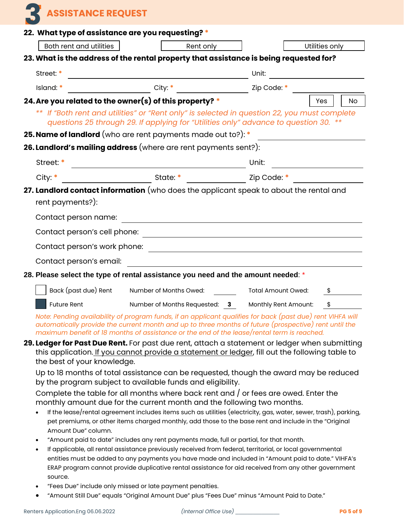**3 ASSISTANCE REQUEST**

| 22. What type of assistance are you requesting? * |                                                                                                                                                                                      |       |                |  |  |  |
|---------------------------------------------------|--------------------------------------------------------------------------------------------------------------------------------------------------------------------------------------|-------|----------------|--|--|--|
| Both rent and utilities                           | Rent only                                                                                                                                                                            |       | Utilities only |  |  |  |
|                                                   | 23. What is the address of the rental property that assistance is being requested for?                                                                                               |       |                |  |  |  |
| Street: *                                         | <u> 1980 - Johann Barn, mars ann an t-Amhain Aonaich an t-Aonaich an t-Aonaich ann an t-Aonaich ann an t-Aonaich</u>                                                                 | Unit: |                |  |  |  |
|                                                   |                                                                                                                                                                                      |       |                |  |  |  |
|                                                   | 24. Are you related to the owner(s) of this property? *                                                                                                                              |       | Yes<br>No.     |  |  |  |
|                                                   | ** If "Both rent and utilities" or "Rent only" is selected in question 22, you must complete<br>questions 25 through 29. If applying for "Utilities only" advance to question 30. ** |       |                |  |  |  |
|                                                   | 25. Name of landlord (who are rent payments made out to?): *                                                                                                                         |       |                |  |  |  |
|                                                   | 26. Landlord's mailing address (where are rent payments sent?):                                                                                                                      |       |                |  |  |  |
|                                                   |                                                                                                                                                                                      |       |                |  |  |  |
|                                                   |                                                                                                                                                                                      |       |                |  |  |  |
| rent payments?):                                  | 27. Landlord contact information (who does the applicant speak to about the rental and                                                                                               |       |                |  |  |  |
|                                                   |                                                                                                                                                                                      |       |                |  |  |  |
|                                                   |                                                                                                                                                                                      |       |                |  |  |  |
| Contact person's work phone:                      | <u> 1989 - Johann Barn, mars eta bainar eta baina eta baina eta baina eta baina eta baina eta baina eta baina e</u>                                                                  |       |                |  |  |  |
| Contact person's email:                           |                                                                                                                                                                                      |       |                |  |  |  |
|                                                   | 28. Please select the type of rental assistance you need and the amount needed: *                                                                                                    |       |                |  |  |  |
|                                                   | Back (past due) Rent Number of Months Owed: Total Amount Owed:                                                                                                                       |       |                |  |  |  |
|                                                   | Future Rent Mumber of Months Requested: 3 Monthly Rent Amount:                                                                                                                       |       | \$             |  |  |  |

*Note: Pending availability of program funds, if an applicant qualifies for back (past due) rent VIHFA will automatically provide the current month and up to three months of future (prospective) rent until the maximum benefit of 18 months of assistance or the end of the lease/rental term is reached.* 

**29. Ledger for Past Due Rent.** For past due rent, attach a statement or ledger when submitting this application. If you cannot provide a statement or ledger, fill out the following table to the best of your knowledge.

Up to 18 months of total assistance can be requested, though the award may be reduced by the program subject to available funds and eligibility.

Complete the table for all months where back rent and / or fees are owed. Enter the monthly amount due for the current month and the following two months.

- If the lease/rental agreement includes items such as utilities (electricity, gas, water, sewer, trash), parking, pet premiums, or other items charged monthly, add those to the base rent and include in the "Original Amount Due" column.
- "Amount paid to date" includes any rent payments made, full or partial, for that month.
- If applicable, all rental assistance previously received from federal, territorial, or local governmental entities must be added to any payments you have made and included in "Amount paid to date." VIHFA's ERAP program cannot provide duplicative rental assistance for aid received from any other government source.
- "Fees Due" include only missed or late payment penalties.
- "Amount Still Due" equals "Original Amount Due" plus "Fees Due" minus "Amount Paid to Date."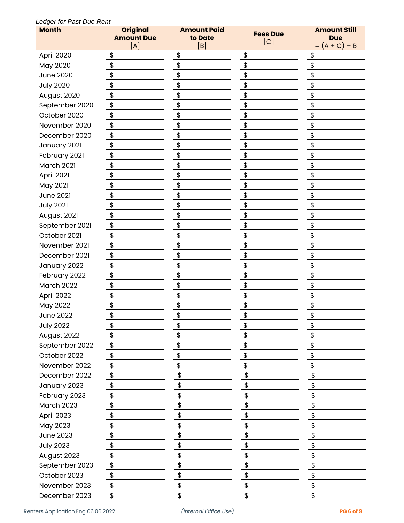#### *Ledger for Past Due Rent*

| <b>Month</b>      | <b>Original</b><br><b>Amount Due</b> | <b>Amount Paid</b><br>to Date | <b>Fees Due</b>     | <b>Amount Still</b><br><b>Due</b> |  |  |
|-------------------|--------------------------------------|-------------------------------|---------------------|-----------------------------------|--|--|
|                   | [A]                                  | [B]                           | $\lfloor c \rfloor$ | $= (A + C) - B$                   |  |  |
| April 2020        | \$                                   | \$                            | \$                  | \$                                |  |  |
| May 2020          | \$                                   | \$                            | \$                  | \$                                |  |  |
| <b>June 2020</b>  | \$                                   | \$                            | \$                  | \$                                |  |  |
| <b>July 2020</b>  | \$                                   | \$                            | \$                  | \$                                |  |  |
| August 2020       | \$                                   | \$                            | \$                  | \$                                |  |  |
| September 2020    | \$                                   | \$                            | \$                  | \$                                |  |  |
| October 2020      | \$                                   | \$                            | \$                  | \$                                |  |  |
| November 2020     | \$                                   | \$                            | \$                  | \$                                |  |  |
| December 2020     | \$                                   | \$                            | \$                  | \$                                |  |  |
| January 2021      | \$                                   | \$                            | \$                  | \$                                |  |  |
| February 2021     | \$                                   | \$                            | \$                  | \$                                |  |  |
| March 2021        | \$                                   | \$                            | \$                  | \$                                |  |  |
| April 2021        | \$                                   | \$                            | \$                  | \$                                |  |  |
| May 2021          | \$                                   | \$                            | \$                  | \$                                |  |  |
| <b>June 2021</b>  | \$                                   | \$                            | \$                  | \$                                |  |  |
| <b>July 2021</b>  | \$                                   | \$                            | \$                  | \$                                |  |  |
| August 2021       | \$                                   | \$                            | \$                  | \$                                |  |  |
| September 2021    | \$                                   | \$                            | \$                  | \$                                |  |  |
| October 2021      | \$                                   | \$                            | \$                  | \$                                |  |  |
| November 2021     | \$                                   | \$                            | \$                  | \$                                |  |  |
| December 2021     | \$                                   | \$                            | \$                  | \$                                |  |  |
| January 2022      | \$                                   | \$                            | \$                  | \$                                |  |  |
| February 2022     | \$                                   | \$                            | \$                  | \$                                |  |  |
| <b>March 2022</b> | \$                                   | \$                            | \$                  | \$                                |  |  |
| April 2022        | \$                                   | \$                            | \$                  | \$                                |  |  |
| May 2022          | \$                                   | \$                            | \$                  | \$                                |  |  |
| <b>June 2022</b>  | \$                                   | \$                            | \$                  | \$                                |  |  |
| <b>July 2022</b>  |                                      |                               |                     |                                   |  |  |
| August 2022       | ⊅<br>\$                              | Φ<br>\$                       | \$<br>\$            | \$                                |  |  |
| September 2022    | \$                                   | \$                            | \$                  | \$                                |  |  |
| October 2022      | \$                                   | \$                            | \$                  | \$                                |  |  |
| November 2022     | \$                                   | \$                            | \$                  | \$                                |  |  |
| December 2022     |                                      | \$                            | \$                  | \$                                |  |  |
|                   | \$                                   |                               |                     | \$                                |  |  |
| January 2023      | \$                                   | \$                            | \$                  |                                   |  |  |
| February 2023     | \$                                   | \$                            | \$                  | \$                                |  |  |
| March 2023        | \$                                   | \$                            | \$                  | \$                                |  |  |
| April 2023        | \$                                   | \$                            | \$                  | \$                                |  |  |
| May 2023          | \$                                   | \$                            | \$                  | \$                                |  |  |
| <b>June 2023</b>  | \$                                   | \$                            | \$                  | \$                                |  |  |
| <b>July 2023</b>  | \$                                   | \$                            | \$                  | \$                                |  |  |
| August 2023       | \$                                   | \$                            | \$                  | \$                                |  |  |
| September 2023    | \$                                   | \$                            | \$                  | \$                                |  |  |
| October 2023      | \$                                   | \$                            | \$                  | \$                                |  |  |
| November 2023     | \$                                   | \$                            | \$                  | \$                                |  |  |
| December 2023     | \$                                   | \$                            | \$                  | \$                                |  |  |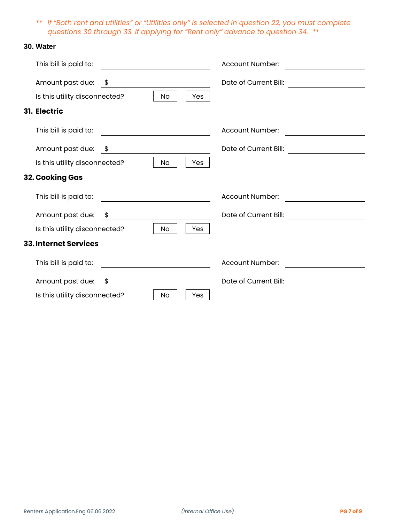*\*\* If "Both rent and utilities" or "Utilities only" is selected in question 22, you must complete questions 30 through 33. If applying for "Rent only" advance to question 34. \*\**

#### **30. Water**

| This bill is paid to:                                                    | Account Number:                                                           |
|--------------------------------------------------------------------------|---------------------------------------------------------------------------|
| Amount past due: \$<br>Is this utility disconnected?<br><b>No</b><br>Yes | Date of Current Bill:<br><u> 1989 - Jan Barbara Barbara, prima popula</u> |
| 31. Electric                                                             |                                                                           |
| This bill is paid to:                                                    | Account Number:                                                           |
| Amount past due: \$                                                      | Date of Current Bill:                                                     |
| Is this utility disconnected?<br>No<br>Yes                               |                                                                           |
| 32. Cooking Gas                                                          |                                                                           |
| This bill is paid to:                                                    | Account Number:                                                           |
| Amount past due: \$                                                      | Date of Current Bill:                                                     |
| Is this utility disconnected?<br>No<br>Yes                               |                                                                           |
| <b>33. Internet Services</b>                                             |                                                                           |
| This bill is paid to:                                                    | Account Number:                                                           |
| Amount past due: \$                                                      | Date of Current Bill:                                                     |
| Is this utility disconnected?<br>No<br>Yes                               |                                                                           |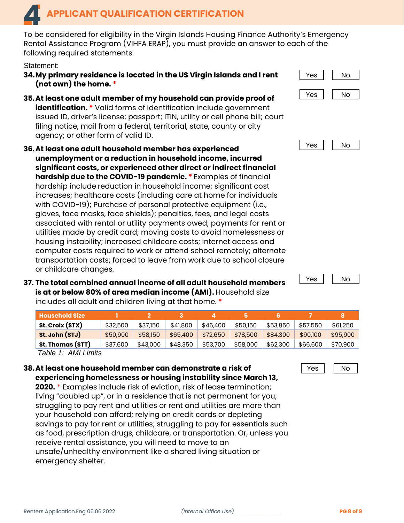To be considered for eligibility in the Virgin Islands Housing Finance Authority's Emergency Rental Assistance Program (VIHFA ERAP), you must provide an answer to each of the following required statements.

Statement:

- **34.My primary residence is located in the US Virgin Islands and I rent (not own) the home. \***
- **35.At least one adult member of my household can provide proof of identification.** \* Valid forms of identification include government issued ID, driver's license; passport; ITIN, utility or cell phone bill; court filing notice, mail from a federal, territorial, state, county or city agency; or other form of valid ID.
- **36.At least one adult household member has experienced unemployment or a reduction in household income, incurred significant costs, or experienced other direct or indirect financial hardship due to the COVID-19 pandemic. \*** Examples of financial hardship include reduction in household income; significant cost increases; healthcare costs (including care at home for individuals with COVID-19); Purchase of personal protective equipment (i.e., gloves, face masks, face shields); penalties, fees, and legal costs associated with rental or utility payments owed; payments for rent or utilities made by credit card; moving costs to avoid homelessness or housing instability; increased childcare costs; internet access and computer costs required to work or attend school remotely; alternate transportation costs; forced to leave from work due to school closure or childcare changes.
- **37. The total combined annual income of all adult household members is at or below 80% of area median income (AMI).** Household size includes all adult and children living at that home. **\***

| <b>Household Size</b>      |          |          |          |          |          |          |          |          |
|----------------------------|----------|----------|----------|----------|----------|----------|----------|----------|
| St. Croix (STX)            | \$32,500 | \$37.150 | \$41,800 | \$46,400 | \$50,150 | \$53,850 | \$57,550 | \$61,250 |
| St. John (STJ)             | \$50,900 | \$58.150 | \$65,400 | \$72,650 | \$78,500 | \$84,300 | \$90.100 | \$95,900 |
| St. Thomas (STT)           | \$37,600 | \$43,000 | \$48,350 | \$53,700 | \$58,000 | \$62,300 | \$66,600 | \$70,900 |
| $T_0$ blo 1. $\Lambda M U$ |          |          |          |          |          |          |          |          |

*Table 1: AMI Limits*

## **38.At least one household member can demonstrate a risk of experiencing homelessness or housing instability since March 13,**

**2020.** \* Examples include risk of eviction; risk of lease termination; living "doubled up", or in a residence that is not permanent for you; struggling to pay rent and utilities or rent and utilities are more than your household can afford; relying on credit cards or depleting savings to pay for rent or utilities; struggling to pay for essentials such as food, prescription drugs, childcare, or transportation. Or, unless you receive rental assistance, you will need to move to an unsafe/unhealthy environment like a shared living situation or emergency shelter.







Yes I No